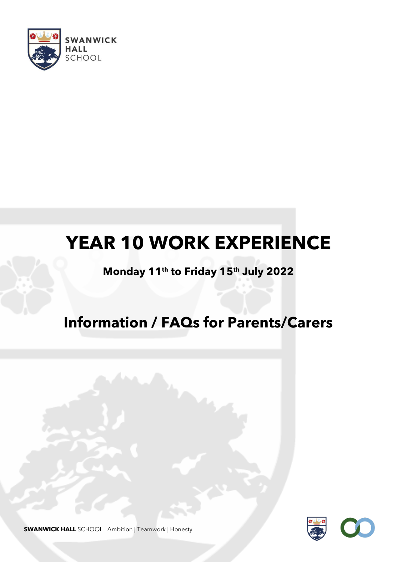

# **YEAR 10 WORK EXPERIENCE**

### **Monday 11th to Friday 15th July 2022**

## **Information / FAQs for Parents/Carers**



**SWANWICK HALL** SCHOOL Ambition | Teamwork | Honesty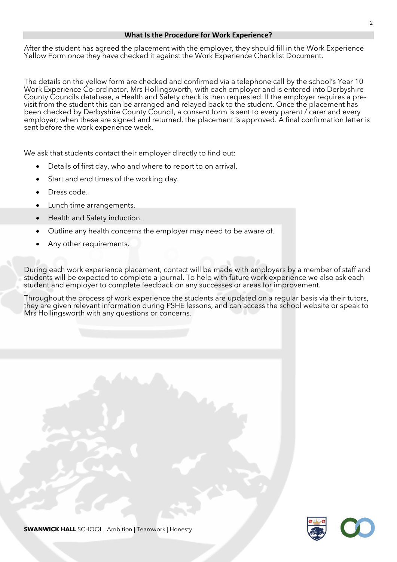#### **What Is the Procedure for Work Experience?**

After the student has agreed the placement with the employer, they should fill in the Work Experience Yellow Form once they have checked it against the Work Experience Checklist Document.

The details on the yellow form are checked and confirmed via a telephone call by the school's Year 10 Work Experience Co-ordinator, Mrs Hollingsworth, with each employer and is entered into Derbyshire County Councils database, a Health and Safety check is then requested. If the employer requires a previsit from the student this can be arranged and relayed back to the student. Once the placement has been checked by Derbyshire County Council, a consent form is sent to every parent / carer and every employer; when these are signed and returned, the placement is approved. A final confirmation letter is sent before the work experience week.

We ask that students contact their employer directly to find out:

- Details of first day, who and where to report to on arrival.
- Start and end times of the working day.
- Dress code.
- Lunch time arrangements.
- Health and Safety induction.
- Outline any health concerns the employer may need to be aware of.
- Any other requirements.

During each work experience placement, contact will be made with employers by a member of staff and students will be expected to complete a journal. To help with future work experience we also ask each student and employer to complete feedback on any successes or areas for improvement.

Throughout the process of work experience the students are updated on a regular basis via their tutors, they are given relevant information during PSHE lessons, and can access the school website or speak to Mrs Hollingsworth with any questions or concerns.



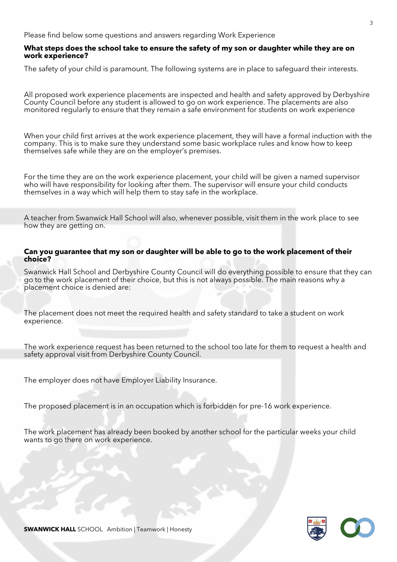Please find below some questions and answers regarding Work Experience

#### **What steps does the school take to ensure the safety of my son or daughter while they are on work experience?**

The safety of your child is paramount. The following systems are in place to safeguard their interests.

All proposed work experience placements are inspected and health and safety approved by Derbyshire County Council before any student is allowed to go on work experience. The placements are also monitored regularly to ensure that they remain a safe environment for students on work experience

When your child first arrives at the work experience placement, they will have a formal induction with the company. This is to make sure they understand some basic workplace rules and know how to keep themselves safe while they are on the employer's premises.

For the time they are on the work experience placement, your child will be given a named supervisor who will have responsibility for looking after them. The supervisor will ensure your child conducts themselves in a way which will help them to stay safe in the workplace.

A teacher from Swanwick Hall School will also, whenever possible, visit them in the work place to see how they are getting on.

#### **Can you guarantee that my son or daughter will be able to go to the work placement of their choice?**

Swanwick Hall School and Derbyshire County Council will do everything possible to ensure that they can go to the work placement of their choice, but this is not always possible. The main reasons why a placement choice is denied are:

The placement does not meet the required health and safety standard to take a student on work experience.

The work experience request has been returned to the school too late for them to request a health and safety approval visit from Derbyshire County Council.

The employer does not have Employer Liability Insurance.

The proposed placement is in an occupation which is forbidden for pre-16 work experience.

The work placement has already been booked by another school for the particular weeks your child wants to go there on work experience.

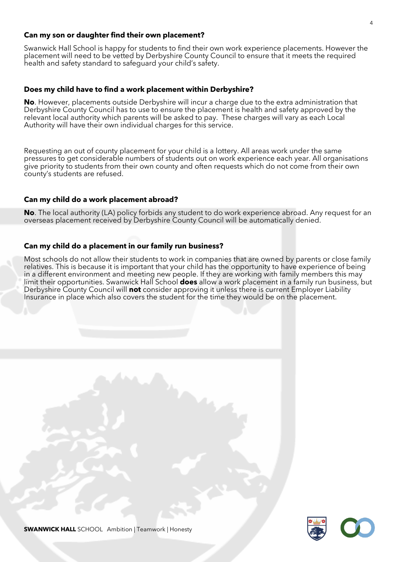#### **Can my son or daughter find their own placement?**

Swanwick Hall School is happy for students to find their own work experience placements. However the placement will need to be vetted by Derbyshire County Council to ensure that it meets the required health and safety standard to safeguard your child's safety.

#### **Does my child have to find a work placement within Derbyshire?**

**No**. However, placements outside Derbyshire will incur a charge due to the extra administration that Derbyshire County Council has to use to ensure the placement is health and safety approved by the relevant local authority which parents will be asked to pay. These charges will vary as each Local Authority will have their own individual charges for this service.

Requesting an out of county placement for your child is a lottery. All areas work under the same pressures to get considerable numbers of students out on work experience each year. All organisations give priority to students from their own county and often requests which do not come from their own county's students are refused.

#### **Can my child do a work placement abroad?**

**No**. The local authority (LA) policy forbids any student to do work experience abroad. Any request for an overseas placement received by Derbyshire County Council will be automatically denied.

#### **Can my child do a placement in our family run business?**

Most schools do not allow their students to work in companies that are owned by parents or close family relatives. This is because it is important that your child has the opportunity to have experience of being in a different environment and meeting new people. If they are working with family members this may limit their opportunities. Swanwick Hall School **does** allow a work placement in a family run business, but Derbyshire County Council will **not** consider approving it unless there is current Employer Liability Insurance in place which also covers the student for the time they would be on the placement.

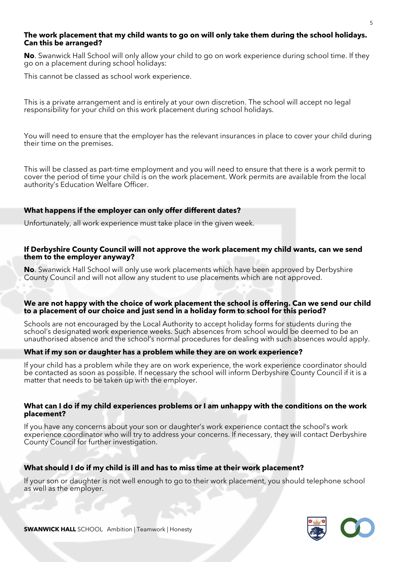#### **The work placement that my child wants to go on will only take them during the school holidays. Can this be arranged?**

**No**. Swanwick Hall School will only allow your child to go on work experience during school time. If they go on a placement during school holidays:

This cannot be classed as school work experience.

This is a private arrangement and is entirely at your own discretion. The school will accept no legal responsibility for your child on this work placement during school holidays.

You will need to ensure that the employer has the relevant insurances in place to cover your child during their time on the premises.

This will be classed as part-time employment and you will need to ensure that there is a work permit to cover the period of time your child is on the work placement. Work permits are available from the local authority's Education Welfare Officer.

#### **What happens if the employer can only offer different dates?**

Unfortunately, all work experience must take place in the given week.

#### **If Derbyshire County Council will not approve the work placement my child wants, can we send them to the employer anyway?**

**No**. Swanwick Hall School will only use work placements which have been approved by Derbyshire County Council and will not allow any student to use placements which are not approved.

#### **We are not happy with the choice of work placement the school is offering. Can we send our child to a placement of our choice and just send in a holiday form to school for this period?**

Schools are not encouraged by the Local Authority to accept holiday forms for students during the school's designated work experience weeks. Such absences from school would be deemed to be an unauthorised absence and the school's normal procedures for dealing with such absences would apply.

#### **What if my son or daughter has a problem while they are on work experience?**

If your child has a problem while they are on work experience, the work experience coordinator should be contacted as soon as possible. If necessary the school will inform Derbyshire County Council if it is a matter that needs to be taken up with the employer.

#### **What can I do if my child experiences problems or I am unhappy with the conditions on the work placement?**

If you have any concerns about your son or daughter's work experience contact the school's work experience coordinator who will try to address your concerns. If necessary, they will contact Derbyshire County Council for further investigation.

#### **What should I do if my child is ill and has to miss time at their work placement?**

If your son or daughter is not well enough to go to their work placement, you should telephone school as well as the employer.